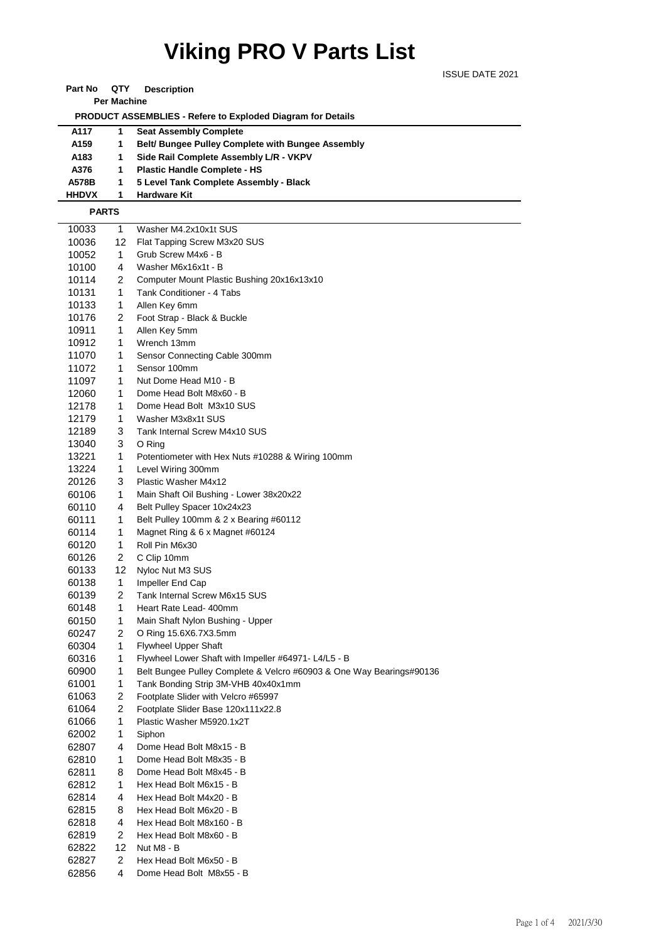# **Viking PRO V Parts List**

ISSUE DATE 2021

| QTY<br>Part No<br><b>Description</b> |  |
|--------------------------------------|--|
|--------------------------------------|--|

**Per Machine**

 **PRODUCT ASSEMBLIES - Refere to Exploded Diagram for Details** 

| A117             | <b>Seat Assembly Complete</b>                    |
|------------------|--------------------------------------------------|
| A <sub>159</sub> | Belt/Bungee Pulley Complete with Bungee Assembly |
| A183             | Side Rail Complete Assembly L/R - VKPV           |
| A376             | <b>Plastic Handle Complete - HS</b>              |
| A578B            | 5 Level Tank Complete Assembly - Black           |
| <b>HHDVX</b>     | <b>Hardware Kit</b>                              |
|                  |                                                  |

### **PARTS**

| 10033 | 1  | Washer M4.2x10x1t SUS                                                |
|-------|----|----------------------------------------------------------------------|
| 10036 | 12 | Flat Tapping Screw M3x20 SUS                                         |
| 10052 | 1  | Grub Screw M4x6 - B                                                  |
| 10100 | 4  | Washer M6x16x1t - B                                                  |
| 10114 | 2  | Computer Mount Plastic Bushing 20x16x13x10                           |
| 10131 | 1  | Tank Conditioner - 4 Tabs                                            |
| 10133 | 1  | Allen Key 6mm                                                        |
| 10176 | 2  | Foot Strap - Black & Buckle                                          |
| 10911 | 1  | Allen Key 5mm                                                        |
| 10912 | 1  | Wrench 13mm                                                          |
| 11070 | 1  | Sensor Connecting Cable 300mm                                        |
| 11072 | 1  | Sensor 100mm                                                         |
| 11097 | 1  | Nut Dome Head M10 - B                                                |
| 12060 | 1  | Dome Head Bolt M8x60 - B                                             |
| 12178 | 1  | Dome Head Bolt M3x10 SUS                                             |
| 12179 | 1  | Washer M3x8x1t SUS                                                   |
| 12189 | 3  | Tank Internal Screw M4x10 SUS                                        |
| 13040 | 3  | O Ring                                                               |
| 13221 | 1  | Potentiometer with Hex Nuts #10288 & Wiring 100mm                    |
| 13224 | 1  | Level Wiring 300mm                                                   |
| 20126 | 3  | Plastic Washer M4x12                                                 |
| 60106 | 1  | Main Shaft Oil Bushing - Lower 38x20x22                              |
| 60110 | 4  | Belt Pulley Spacer 10x24x23                                          |
| 60111 | 1  | Belt Pulley 100mm & 2 x Bearing #60112                               |
| 60114 | 1  | Magnet Ring & 6 x Magnet #60124                                      |
| 60120 | 1  | Roll Pin M6x30                                                       |
| 60126 | 2  | C Clip 10mm                                                          |
| 60133 | 12 | Nyloc Nut M3 SUS                                                     |
| 60138 | 1  | Impeller End Cap                                                     |
| 60139 | 2  | Tank Internal Screw M6x15 SUS                                        |
| 60148 | 1  | Heart Rate Lead- 400mm                                               |
| 60150 | 1  | Main Shaft Nylon Bushing - Upper                                     |
| 60247 | 2  | O Ring 15.6X6.7X3.5mm                                                |
| 60304 | 1  | <b>Flywheel Upper Shaft</b>                                          |
| 60316 | 1  | Flywheel Lower Shaft with Impeller #64971- L4/L5 - B                 |
| 60900 | 1  | Belt Bungee Pulley Complete & Velcro #60903 & One Way Bearings#90136 |
| 61001 | 1  | Tank Bonding Strip 3M-VHB 40x40x1mm                                  |
| 61063 | 2  | Footplate Slider with Velcro #65997                                  |
| 61064 | 2  | Footplate Slider Base 120x111x22.8                                   |
| 61066 | 1  | Plastic Washer M5920.1x2T                                            |
| 62002 | 1  | Siphon                                                               |
| 62807 | 4  | Dome Head Bolt M8x15 - B                                             |
| 62810 | 1  | Dome Head Bolt M8x35 - B                                             |
| 62811 | 8  | Dome Head Bolt M8x45 - B                                             |
|       | 1  | Hex Head Bolt M6x15 - B                                              |
| 62812 | 4  |                                                                      |
| 62814 |    | Hex Head Bolt M4x20 - B<br>Hex Head Bolt M6x20 - B                   |
| 62815 | 8  |                                                                      |
| 62818 | 4  | Hex Head Bolt M8x160 - B                                             |
| 62819 | 2  | Hex Head Bolt M8x60 - B                                              |
| 62822 | 12 | Nut M8 - B                                                           |
| 62827 | 2  | Hex Head Bolt M6x50 - B                                              |
| 62856 | 4  | Dome Head Bolt M8x55 - B                                             |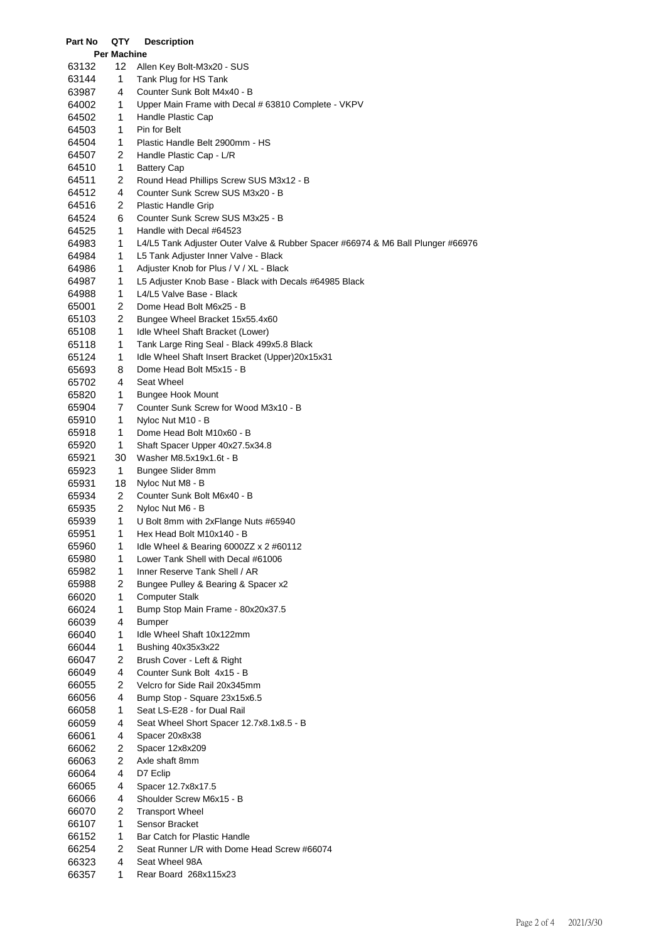| Part No        | QTY                      | <b>Description</b>                                                              |
|----------------|--------------------------|---------------------------------------------------------------------------------|
| 63132          | <b>Per Machine</b><br>12 | Allen Key Bolt-M3x20 - SUS                                                      |
| 63144          | 1                        | Tank Plug for HS Tank                                                           |
| 63987          | 4                        | Counter Sunk Bolt M4x40 - B                                                     |
| 64002          | 1                        | Upper Main Frame with Decal # 63810 Complete - VKPV                             |
| 64502          | 1                        | Handle Plastic Cap                                                              |
| 64503          | 1                        | Pin for Belt                                                                    |
| 64504          | 1                        | Plastic Handle Belt 2900mm - HS                                                 |
| 64507          | 2                        | Handle Plastic Cap - L/R                                                        |
| 64510          | 1                        | <b>Battery Cap</b>                                                              |
| 64511          | 2                        | Round Head Phillips Screw SUS M3x12 - B                                         |
| 64512          | 4                        | Counter Sunk Screw SUS M3x20 - B                                                |
| 64516          | 2                        | Plastic Handle Grip                                                             |
| 64524          | 6                        | Counter Sunk Screw SUS M3x25 - B                                                |
| 64525          | 1                        | Handle with Decal #64523                                                        |
| 64983          | 1                        | L4/L5 Tank Adjuster Outer Valve & Rubber Spacer #66974 & M6 Ball Plunger #66976 |
| 64984          | 1                        | L5 Tank Adjuster Inner Valve - Black                                            |
| 64986          | 1                        | Adjuster Knob for Plus / V / XL - Black                                         |
| 64987          | 1                        | L5 Adjuster Knob Base - Black with Decals #64985 Black                          |
| 64988          | 1                        | L4/L5 Valve Base - Black                                                        |
| 65001          | 2                        | Dome Head Bolt M6x25 - B                                                        |
| 65103          | 2                        | Bungee Wheel Bracket 15x55.4x60                                                 |
| 65108          | 1                        | Idle Wheel Shaft Bracket (Lower)                                                |
| 65118          | 1                        | Tank Large Ring Seal - Black 499x5.8 Black                                      |
| 65124          | 1                        | Idle Wheel Shaft Insert Bracket (Upper)20x15x31                                 |
| 65693          | 8                        | Dome Head Bolt M5x15 - B                                                        |
| 65702          | 4                        | Seat Wheel                                                                      |
| 65820          | 1                        | <b>Bungee Hook Mount</b>                                                        |
| 65904          | 7                        | Counter Sunk Screw for Wood M3x10 - B                                           |
| 65910          | 1                        | Nyloc Nut M10 - B                                                               |
| 65918          | 1                        | Dome Head Bolt M10x60 - B                                                       |
| 65920          | 1                        | Shaft Spacer Upper 40x27.5x34.8                                                 |
| 65921          | 30                       | Washer M8.5x19x1.6t - B                                                         |
| 65923          | 1                        | Bungee Slider 8mm                                                               |
| 65931          | 18<br>2                  | Nyloc Nut M8 - B                                                                |
| 65934<br>65935 | $\overline{c}$           | Counter Sunk Bolt M6x40 - B<br>Nyloc Nut M6 - B                                 |
| 65939          | 1                        | U Bolt 8mm with 2xFlange Nuts #65940                                            |
| 65951          | 1                        | Hex Head Bolt M10x140 - B                                                       |
| 65960          | 1                        | Idle Wheel & Bearing 6000ZZ x 2 #60112                                          |
| 65980          | 1                        | Lower Tank Shell with Decal #61006                                              |
| 65982          | 1                        | Inner Reserve Tank Shell / AR                                                   |
| 65988          | 2                        | Bungee Pulley & Bearing & Spacer x2                                             |
| 66020          | 1                        | <b>Computer Stalk</b>                                                           |
| 66024          | 1                        | Bump Stop Main Frame - 80x20x37.5                                               |
| 66039          | 4                        | <b>Bumper</b>                                                                   |
| 66040          | 1                        | Idle Wheel Shaft 10x122mm                                                       |
| 66044          | 1                        | Bushing 40x35x3x22                                                              |
| 66047          | 2                        | Brush Cover - Left & Right                                                      |
| 66049          | 4                        | Counter Sunk Bolt 4x15 - B                                                      |
| 66055          | 2                        | Velcro for Side Rail 20x345mm                                                   |
| 66056          | 4                        | Bump Stop - Square 23x15x6.5                                                    |
| 66058          | 1                        | Seat LS-E28 - for Dual Rail                                                     |
| 66059          | 4                        | Seat Wheel Short Spacer 12.7x8.1x8.5 - B                                        |
| 66061          | 4                        | Spacer 20x8x38                                                                  |
| 66062          | 2                        | Spacer 12x8x209                                                                 |
| 66063          | 2                        | Axle shaft 8mm                                                                  |
| 66064          | 4                        | D7 Eclip                                                                        |
| 66065          | 4                        | Spacer 12.7x8x17.5                                                              |
| 66066          | 4                        | Shoulder Screw M6x15 - B                                                        |
| 66070          | 2                        | <b>Transport Wheel</b>                                                          |
| 66107          | 1                        | Sensor Bracket                                                                  |
| 66152          | 1                        | Bar Catch for Plastic Handle                                                    |
| 66254<br>66323 | 2<br>4                   | Seat Runner L/R with Dome Head Screw #66074<br>Seat Wheel 98A                   |
| 66357          | 1                        | Rear Board 268x115x23                                                           |
|                |                          |                                                                                 |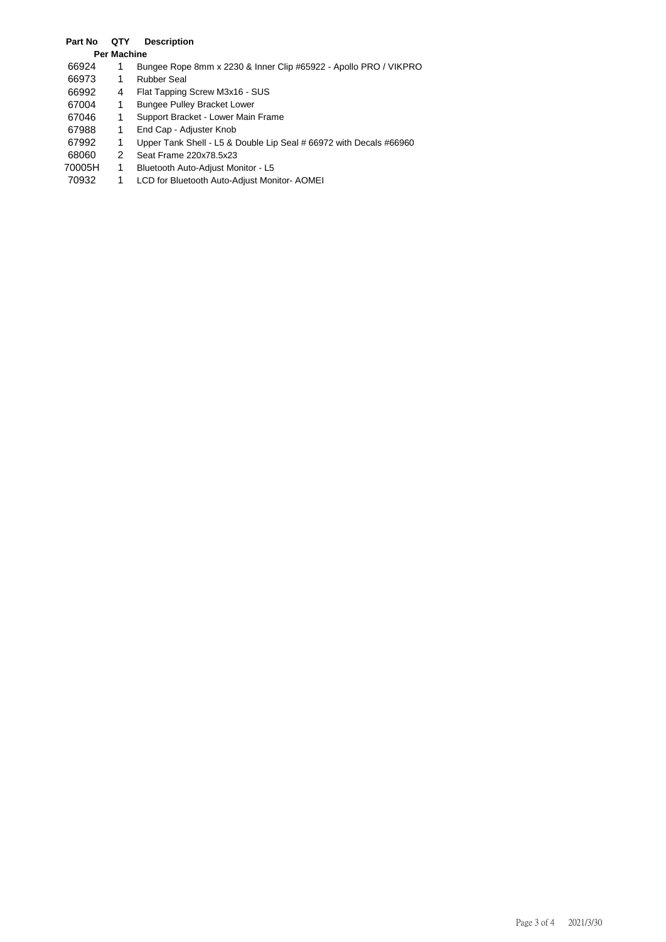## **Part No QTY Description**

### **Per Machine**

- 1 Bungee Rope 8mm x 2230 & Inner Clip #65922 Apollo PRO / VIKPRO
- 1 Rubber Seal
- 4 Flat Tapping Screw M3x16 SUS
- 1 Bungee Pulley Bracket Lower
- 1 Support Bracket Lower Main Frame
- 1 End Cap Adjuster Knob
- 1 Upper Tank Shell L5 & Double Lip Seal # 66972 with Decals #66960
- 2 Seat Frame 220x78.5x23
- 70005H 1 Bluetooth Auto-Adjust Monitor L5
- 1 LCD for Bluetooth Auto-Adjust Monitor- AOMEI